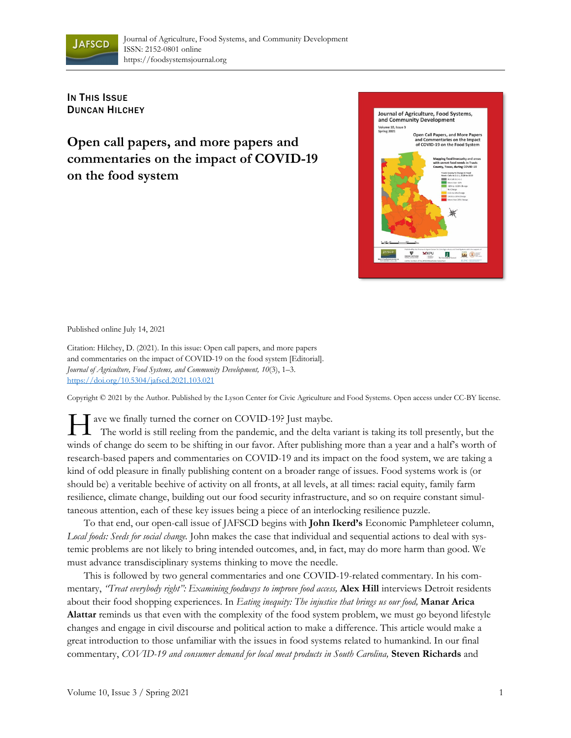

**IN THIS ISSUE** DUNCAN HILCHEY

**Open call papers, and more papers and commentaries on the impact of COVID-19 on the food system** 



Published online July 14, 2021

Citation: Hilchey, D. (2021). In this issue: Open call papers, and more papers and commentaries on the impact of COVID-19 on the food system [Editorial]. *Journal of Agriculture, Food Systems, and Community Development, 10*(3), 1–3. https://doi.org/10.5304/jafscd.2021.103.021

Copyright © 2021 by the Author. Published by the Lyson Center for Civic Agriculture and Food Systems. Open access under CC-BY license.

The world is still reeling from the pandemic, and the delta v The world is still reeling from the pandemic, and the delta variant is taking its toll presently, but the winds of change do seem to be shifting in our favor. After publishing more than a year and a half's worth of research-based papers and commentaries on COVID-19 and its impact on the food system, we are taking a kind of odd pleasure in finally publishing content on a broader range of issues. Food systems work is (or should be) a veritable beehive of activity on all fronts, at all levels, at all times: racial equity, family farm resilience, climate change, building out our food security infrastructure, and so on require constant simultaneous attention, each of these key issues being a piece of an interlocking resilience puzzle.

 To that end, our open-call issue of JAFSCD begins with **John Ikerd's** Economic Pamphleteer column, *Local foods: Seeds for social change.* John makes the case that individual and sequential actions to deal with systemic problems are not likely to bring intended outcomes, and, in fact, may do more harm than good. We must advance transdisciplinary systems thinking to move the needle.

 This is followed by two general commentaries and one COVID-19-related commentary. In his commentary, *"Treat everybody right": Examining foodways to improve food access,* **Alex Hill** interviews Detroit residents about their food shopping experiences. In *Eating inequity: The injustice that brings us our food,* **Manar Arica Alattar** reminds us that even with the complexity of the food system problem, we must go beyond lifestyle changes and engage in civil discourse and political action to make a difference. This article would make a great introduction to those unfamiliar with the issues in food systems related to humankind. In our final commentary, *COVID-19 and consumer demand for local meat products in South Carolina,* **Steven Richards** and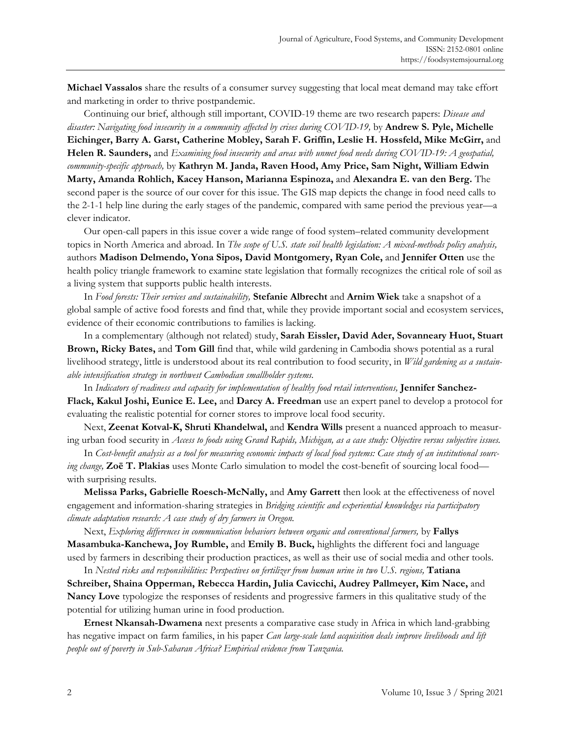**Michael Vassalos** share the results of a consumer survey suggesting that local meat demand may take effort and marketing in order to thrive postpandemic.

 Continuing our brief, although still important, COVID-19 theme are two research papers: *Disease and disaster: Navigating food insecurity in a community affected by crises during COVID-19,* by **Andrew S. Pyle, Michelle Eichinger, Barry A. Garst, Catherine Mobley, Sarah F. Griffin, Leslie H. Hossfeld, Mike McGirr,** and **Helen R. Saunders,** and *Examining food insecurity and areas with unmet food needs during COVID-19: A geospatial, community-specific approach,* by **Kathryn M. Janda, Raven Hood, Amy Price, Sam Night, William Edwin Marty, Amanda Rohlich, Kacey Hanson, Marianna Espinoza,** and **Alexandra E. van den Berg.** The second paper is the source of our cover for this issue. The GIS map depicts the change in food need calls to the 2-1-1 help line during the early stages of the pandemic, compared with same period the previous year—a clever indicator.

 Our open-call papers in this issue cover a wide range of food system–related community development topics in North America and abroad. In *The scope of U.S. state soil health legislation: A mixed-methods policy analysis,* authors **Madison Delmendo, Yona Sipos, David Montgomery, Ryan Cole,** and **Jennifer Otten** use the health policy triangle framework to examine state legislation that formally recognizes the critical role of soil as a living system that supports public health interests.

 In *Food forests: Their services and sustainability,* **Stefanie Albrecht** and **Arnim Wiek** take a snapshot of a global sample of active food forests and find that, while they provide important social and ecosystem services, evidence of their economic contributions to families is lacking.

 In a complementary (although not related) study, **Sarah Eissler, David Ader, Sovanneary Huot, Stuart Brown, Ricky Bates,** and **Tom Gill** find that, while wild gardening in Cambodia shows potential as a rural livelihood strategy, little is understood about its real contribution to food security, in *Wild gardening as a sustainable intensification strategy in northwest Cambodian smallholder systems.* 

 In *Indicators of readiness and capacity for implementation of healthy food retail interventions,* **Jennifer Sanchez-Flack, Kakul Joshi, Eunice E. Lee,** and **Darcy A. Freedman** use an expert panel to develop a protocol for evaluating the realistic potential for corner stores to improve local food security.

 Next, **Zeenat Kotval-K, Shruti Khandelwal,** and **Kendra Wills** present a nuanced approach to measuring urban food security in *Access to foods using Grand Rapids, Michigan, as a case study: Objective versus subjective issues.* 

 In *Cost-benefit analysis as a tool for measuring economic impacts of local food systems: Case study of an institutional sourcing change,* **Zoë T. Plakias** uses Monte Carlo simulation to model the cost-benefit of sourcing local food with surprising results.

**Melissa Parks, Gabrielle Roesch-McNally,** and **Amy Garrett** then look at the effectiveness of novel engagement and information-sharing strategies in *Bridging scientific and experiential knowledges via participatory climate adaptation research: A case study of dry farmers in Oregon.*

 Next, *Exploring differences in communication behaviors between organic and conventional farmers,* by **Fallys Masambuka-Kanchewa, Joy Rumble, and Emily B. Buck, highlights the different foci and language** used by farmers in describing their production practices, as well as their use of social media and other tools.

 In *Nested risks and responsibilities: Perspectives on fertilizer from human urine in two U.S. regions,* **Tatiana Schreiber, Shaina Opperman, Rebecca Hardin, Julia Cavicchi, Audrey Pallmeyer, Kim Nace,** and **Nancy Love** typologize the responses of residents and progressive farmers in this qualitative study of the

potential for utilizing human urine in food production.

**Ernest Nkansah-Dwamena** next presents a comparative case study in Africa in which land-grabbing has negative impact on farm families, in his paper *Can large-scale land acquisition deals improve livelihoods and lift people out of poverty in Sub-Saharan Africa? Empirical evidence from Tanzania.*